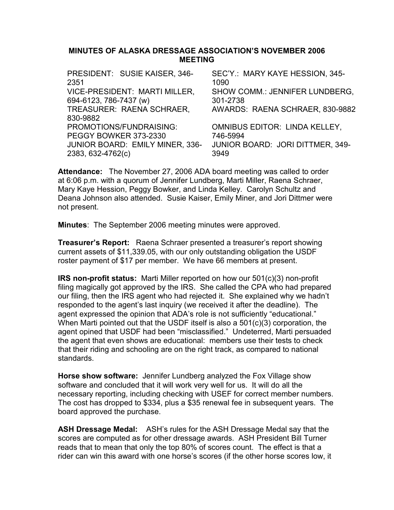### MINUTES OF ALASKA DRESSAGE ASSOCIATION'S NOVEMBER 2006 MEETING

| PRESIDENT: SUSIE KAISER, 346-   | SEC'Y.: MARY KAYE HESSION, 345-      |
|---------------------------------|--------------------------------------|
| 2351                            | 1090                                 |
| VICE-PRESIDENT: MARTI MILLER,   | SHOW COMM.: JENNIFER LUNDBERG,       |
| 694-6123, 786-7437 (w)          | 301-2738                             |
| TREASURER: RAENA SCHRAER,       | AWARDS: RAENA SCHRAER, 830-9882      |
| 830-9882                        |                                      |
| PROMOTIONS/FUNDRAISING:         | <b>OMNIBUS EDITOR: LINDA KELLEY,</b> |
| PEGGY BOWKER 373-2330           | 746-5994                             |
| JUNIOR BOARD: EMILY MINER, 336- | JUNIOR BOARD: JORI DITTMER, 349-     |
| 2383, 632-4762(c)               | 3949                                 |
|                                 |                                      |

Attendance: The November 27, 2006 ADA board meeting was called to order at 6:06 p.m. with a quorum of Jennifer Lundberg, Marti Miller, Raena Schraer, Mary Kaye Hession, Peggy Bowker, and Linda Kelley. Carolyn Schultz and Deana Johnson also attended. Susie Kaiser, Emily Miner, and Jori Dittmer were not present.

Minutes: The September 2006 meeting minutes were approved.

Treasurer's Report: Raena Schraer presented a treasurer's report showing current assets of \$11,339.05, with our only outstanding obligation the USDF roster payment of \$17 per member. We have 66 members at present.

IRS non-profit status: Marti Miller reported on how our 501(c)(3) non-profit filing magically got approved by the IRS. She called the CPA who had prepared our filing, then the IRS agent who had rejected it. She explained why we hadn't responded to the agent's last inquiry (we received it after the deadline). The agent expressed the opinion that ADA's role is not sufficiently "educational." When Marti pointed out that the USDF itself is also a 501(c)(3) corporation, the agent opined that USDF had been "misclassified." Undeterred, Marti persuaded the agent that even shows are educational: members use their tests to check that their riding and schooling are on the right track, as compared to national standards.

Horse show software: Jennifer Lundberg analyzed the Fox Village show software and concluded that it will work very well for us. It will do all the necessary reporting, including checking with USEF for correct member numbers. The cost has dropped to \$334, plus a \$35 renewal fee in subsequent years. The board approved the purchase.

ASH Dressage Medal: ASH's rules for the ASH Dressage Medal say that the scores are computed as for other dressage awards. ASH President Bill Turner reads that to mean that only the top 80% of scores count. The effect is that a rider can win this award with one horse's scores (if the other horse scores low, it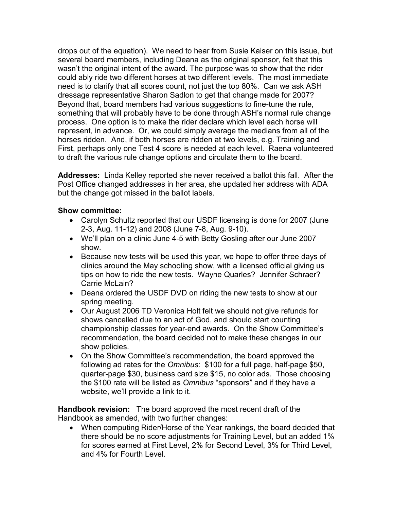drops out of the equation). We need to hear from Susie Kaiser on this issue, but several board members, including Deana as the original sponsor, felt that this wasn't the original intent of the award. The purpose was to show that the rider could ably ride two different horses at two different levels. The most immediate need is to clarify that all scores count, not just the top 80%. Can we ask ASH dressage representative Sharon Sadlon to get that change made for 2007? Beyond that, board members had various suggestions to fine-tune the rule, something that will probably have to be done through ASH's normal rule change process. One option is to make the rider declare which level each horse will represent, in advance. Or, we could simply average the medians from all of the horses ridden. And, if both horses are ridden at two levels, e.g. Training and First, perhaps only one Test 4 score is needed at each level. Raena volunteered to draft the various rule change options and circulate them to the board.

Addresses: Linda Kelley reported she never received a ballot this fall. After the Post Office changed addresses in her area, she updated her address with ADA but the change got missed in the ballot labels.

## Show committee:

- Carolyn Schultz reported that our USDF licensing is done for 2007 (June 2-3, Aug. 11-12) and 2008 (June 7-8, Aug. 9-10).
- We'll plan on a clinic June 4-5 with Betty Gosling after our June 2007 show.
- Because new tests will be used this year, we hope to offer three days of clinics around the May schooling show, with a licensed official giving us tips on how to ride the new tests. Wayne Quarles? Jennifer Schraer? Carrie McLain?
- Deana ordered the USDF DVD on riding the new tests to show at our spring meeting.
- Our August 2006 TD Veronica Holt felt we should not give refunds for shows cancelled due to an act of God, and should start counting championship classes for year-end awards. On the Show Committee's recommendation, the board decided not to make these changes in our show policies.
- On the Show Committee's recommendation, the board approved the following ad rates for the Omnibus: \$100 for a full page, half-page \$50, quarter-page \$30, business card size \$15, no color ads. Those choosing the \$100 rate will be listed as Omnibus "sponsors" and if they have a website, we'll provide a link to it.

Handbook revision: The board approved the most recent draft of the Handbook as amended, with two further changes:

• When computing Rider/Horse of the Year rankings, the board decided that there should be no score adjustments for Training Level, but an added 1% for scores earned at First Level, 2% for Second Level, 3% for Third Level, and 4% for Fourth Level.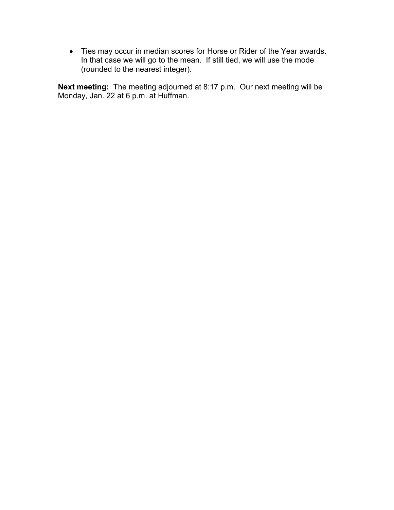• Ties may occur in median scores for Horse or Rider of the Year awards. In that case we will go to the mean. If still tied, we will use the mode (rounded to the nearest integer).

Next meeting: The meeting adjourned at 8:17 p.m. Our next meeting will be Monday, Jan. 22 at 6 p.m. at Huffman.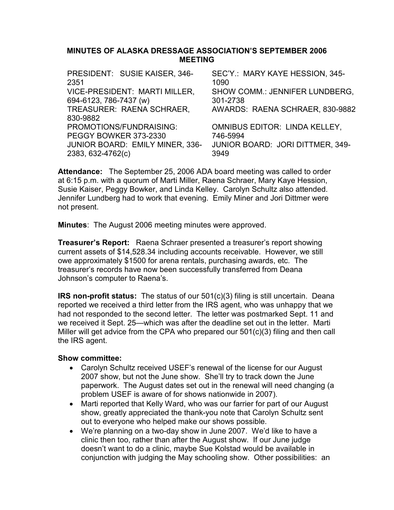## MINUTES OF ALASKA DRESSAGE ASSOCIATION'S SEPTEMBER 2006 MEETING

| SEC'Y.: MARY KAYE HESSION, 345-         |
|-----------------------------------------|
| 1090                                    |
| SHOW COMM.: JENNIFER LUNDBERG.          |
| 301-2738                                |
| AWARDS: RAENA SCHRAER, 830-9882         |
|                                         |
| <b>OMNIBUS EDITOR: LINDA KELLEY,</b>    |
| 746-5994                                |
| <b>JUNIOR BOARD: JORI DITTMER, 349-</b> |
| 3949                                    |
|                                         |

Attendance: The September 25, 2006 ADA board meeting was called to order at 6:15 p.m. with a quorum of Marti Miller, Raena Schraer, Mary Kaye Hession, Susie Kaiser, Peggy Bowker, and Linda Kelley. Carolyn Schultz also attended. Jennifer Lundberg had to work that evening. Emily Miner and Jori Dittmer were not present.

Minutes: The August 2006 meeting minutes were approved.

Treasurer's Report: Raena Schraer presented a treasurer's report showing current assets of \$14,528.34 including accounts receivable. However, we still owe approximately \$1500 for arena rentals, purchasing awards, etc. The treasurer's records have now been successfully transferred from Deana Johnson's computer to Raena's.

IRS non-profit status: The status of our 501(c)(3) filing is still uncertain. Deana reported we received a third letter from the IRS agent, who was unhappy that we had not responded to the second letter. The letter was postmarked Sept. 11 and we received it Sept. 25—which was after the deadline set out in the letter. Marti Miller will get advice from the CPA who prepared our 501(c)(3) filing and then call the IRS agent.

- Carolyn Schultz received USEF's renewal of the license for our August 2007 show, but not the June show. She'll try to track down the June paperwork. The August dates set out in the renewal will need changing (a problem USEF is aware of for shows nationwide in 2007).
- Marti reported that Kelly Ward, who was our farrier for part of our August show, greatly appreciated the thank-you note that Carolyn Schultz sent out to everyone who helped make our shows possible.
- We're planning on a two-day show in June 2007. We'd like to have a clinic then too, rather than after the August show. If our June judge doesn't want to do a clinic, maybe Sue Kolstad would be available in conjunction with judging the May schooling show. Other possibilities: an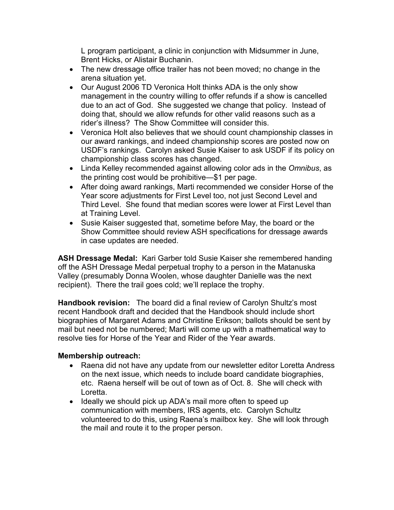L program participant, a clinic in conjunction with Midsummer in June, Brent Hicks, or Alistair Buchanin.

- The new dressage office trailer has not been moved; no change in the arena situation yet.
- Our August 2006 TD Veronica Holt thinks ADA is the only show management in the country willing to offer refunds if a show is cancelled due to an act of God. She suggested we change that policy. Instead of doing that, should we allow refunds for other valid reasons such as a rider's illness? The Show Committee will consider this.
- Veronica Holt also believes that we should count championship classes in our award rankings, and indeed championship scores are posted now on USDF's rankings. Carolyn asked Susie Kaiser to ask USDF if its policy on championship class scores has changed.
- Linda Kelley recommended against allowing color ads in the Omnibus, as the printing cost would be prohibitive—\$1 per page.
- After doing award rankings, Marti recommended we consider Horse of the Year score adjustments for First Level too, not just Second Level and Third Level. She found that median scores were lower at First Level than at Training Level.
- Susie Kaiser suggested that, sometime before May, the board or the Show Committee should review ASH specifications for dressage awards in case updates are needed.

ASH Dressage Medal: Kari Garber told Susie Kaiser she remembered handing off the ASH Dressage Medal perpetual trophy to a person in the Matanuska Valley (presumably Donna Woolen, whose daughter Danielle was the next recipient). There the trail goes cold; we'll replace the trophy.

Handbook revision: The board did a final review of Carolyn Shultz's most recent Handbook draft and decided that the Handbook should include short biographies of Margaret Adams and Christine Erikson; ballots should be sent by mail but need not be numbered; Marti will come up with a mathematical way to resolve ties for Horse of the Year and Rider of the Year awards.

## Membership outreach:

- Raena did not have any update from our newsletter editor Loretta Andress on the next issue, which needs to include board candidate biographies, etc. Raena herself will be out of town as of Oct. 8. She will check with Loretta.
- Ideally we should pick up ADA's mail more often to speed up communication with members, IRS agents, etc. Carolyn Schultz volunteered to do this, using Raena's mailbox key. She will look through the mail and route it to the proper person.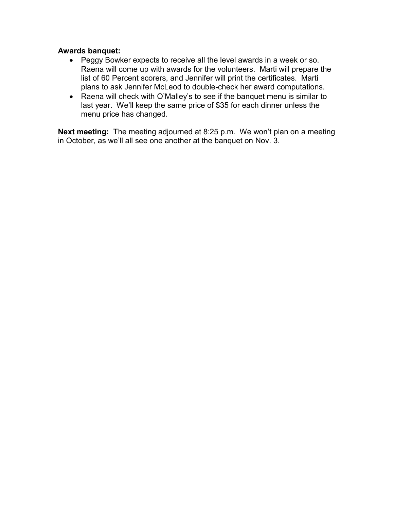## Awards banquet:

- Peggy Bowker expects to receive all the level awards in a week or so. Raena will come up with awards for the volunteers. Marti will prepare the list of 60 Percent scorers, and Jennifer will print the certificates. Marti plans to ask Jennifer McLeod to double-check her award computations.
- Raena will check with O'Malley's to see if the banquet menu is similar to last year. We'll keep the same price of \$35 for each dinner unless the menu price has changed.

Next meeting: The meeting adjourned at 8:25 p.m. We won't plan on a meeting in October, as we'll all see one another at the banquet on Nov. 3.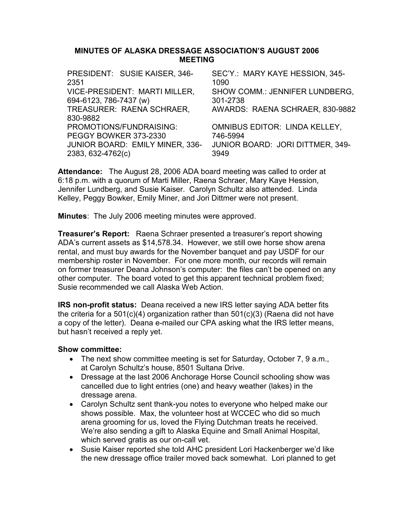## MINUTES OF ALASKA DRESSAGE ASSOCIATION'S AUGUST 2006 MEETING

| PRESIDENT: SUSIE KAISER, 346-   | SEC'Y.: MARY KAYE HESSION, 345-      |
|---------------------------------|--------------------------------------|
| 2351                            | 1090                                 |
| VICE-PRESIDENT: MARTI MILLER,   | SHOW COMM.: JENNIFER LUNDBERG,       |
| 694-6123, 786-7437 (w)          | 301-2738                             |
| TREASURER: RAENA SCHRAER,       | AWARDS: RAENA SCHRAER, 830-9882      |
| 830-9882                        |                                      |
| PROMOTIONS/FUNDRAISING:         | <b>OMNIBUS EDITOR: LINDA KELLEY,</b> |
| PEGGY BOWKER 373-2330           | 746-5994                             |
| JUNIOR BOARD: EMILY MINER, 336- | JUNIOR BOARD: JORI DITTMER, 349-     |
| 2383, 632-4762(c)               | 3949                                 |

Attendance: The August 28, 2006 ADA board meeting was called to order at 6:18 p.m. with a quorum of Marti Miller, Raena Schraer, Mary Kaye Hession, Jennifer Lundberg, and Susie Kaiser. Carolyn Schultz also attended. Linda Kelley, Peggy Bowker, Emily Miner, and Jori Dittmer were not present.

Minutes: The July 2006 meeting minutes were approved.

**Treasurer's Report:** Raena Schraer presented a treasurer's report showing ADA's current assets as \$14,578.34. However, we still owe horse show arena rental, and must buy awards for the November banquet and pay USDF for our membership roster in November. For one more month, our records will remain on former treasurer Deana Johnson's computer: the files can't be opened on any other computer. The board voted to get this apparent technical problem fixed; Susie recommended we call Alaska Web Action.

**IRS non-profit status:** Deana received a new IRS letter saying ADA better fits the criteria for a 501(c)(4) organization rather than 501(c)(3) (Raena did not have a copy of the letter). Deana e-mailed our CPA asking what the IRS letter means, but hasn't received a reply yet.

- The next show committee meeting is set for Saturday, October 7, 9 a.m., at Carolyn Schultz's house, 8501 Sultana Drive.
- Dressage at the last 2006 Anchorage Horse Council schooling show was cancelled due to light entries (one) and heavy weather (lakes) in the dressage arena.
- Carolyn Schultz sent thank-you notes to everyone who helped make our shows possible. Max, the volunteer host at WCCEC who did so much arena grooming for us, loved the Flying Dutchman treats he received. We're also sending a gift to Alaska Equine and Small Animal Hospital, which served gratis as our on-call vet.
- Susie Kaiser reported she told AHC president Lori Hackenberger we'd like the new dressage office trailer moved back somewhat. Lori planned to get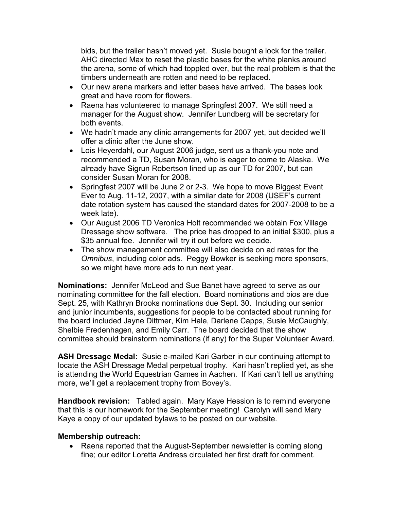bids, but the trailer hasn't moved yet. Susie bought a lock for the trailer. AHC directed Max to reset the plastic bases for the white planks around the arena, some of which had toppled over, but the real problem is that the timbers underneath are rotten and need to be replaced.

- Our new arena markers and letter bases have arrived. The bases look great and have room for flowers.
- Raena has volunteered to manage Springfest 2007. We still need a manager for the August show. Jennifer Lundberg will be secretary for both events.
- We hadn't made any clinic arrangements for 2007 yet, but decided we'll offer a clinic after the June show.
- Lois Heyerdahl, our August 2006 judge, sent us a thank-you note and recommended a TD, Susan Moran, who is eager to come to Alaska. We already have Sigrun Robertson lined up as our TD for 2007, but can consider Susan Moran for 2008.
- Springfest 2007 will be June 2 or 2-3. We hope to move Biggest Event Ever to Aug. 11-12, 2007, with a similar date for 2008 (USEF's current date rotation system has caused the standard dates for 2007-2008 to be a week late).
- Our August 2006 TD Veronica Holt recommended we obtain Fox Village Dressage show software. The price has dropped to an initial \$300, plus a \$35 annual fee. Jennifer will try it out before we decide.
- The show management committee will also decide on ad rates for the Omnibus, including color ads. Peggy Bowker is seeking more sponsors, so we might have more ads to run next year.

Nominations: Jennifer McLeod and Sue Banet have agreed to serve as our nominating committee for the fall election. Board nominations and bios are due Sept. 25, with Kathryn Brooks nominations due Sept. 30. Including our senior and junior incumbents, suggestions for people to be contacted about running for the board included Jayne Dittmer, Kim Hale, Darlene Capps, Susie McCaughly, Shelbie Fredenhagen, and Emily Carr. The board decided that the show committee should brainstorm nominations (if any) for the Super Volunteer Award.

ASH Dressage Medal: Susie e-mailed Kari Garber in our continuing attempt to locate the ASH Dressage Medal perpetual trophy. Kari hasn't replied yet, as she is attending the World Equestrian Games in Aachen. If Kari can't tell us anything more, we'll get a replacement trophy from Bovey's.

Handbook revision: Tabled again. Mary Kaye Hession is to remind everyone that this is our homework for the September meeting! Carolyn will send Mary Kaye a copy of our updated bylaws to be posted on our website.

## Membership outreach:

• Raena reported that the August-September newsletter is coming along fine; our editor Loretta Andress circulated her first draft for comment.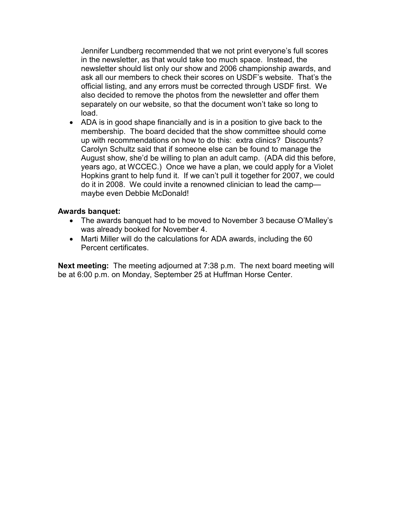Jennifer Lundberg recommended that we not print everyone's full scores in the newsletter, as that would take too much space. Instead, the newsletter should list only our show and 2006 championship awards, and ask all our members to check their scores on USDF's website. That's the official listing, and any errors must be corrected through USDF first. We also decided to remove the photos from the newsletter and offer them separately on our website, so that the document won't take so long to load.

• ADA is in good shape financially and is in a position to give back to the membership. The board decided that the show committee should come up with recommendations on how to do this: extra clinics? Discounts? Carolyn Schultz said that if someone else can be found to manage the August show, she'd be willing to plan an adult camp. (ADA did this before, years ago, at WCCEC.) Once we have a plan, we could apply for a Violet Hopkins grant to help fund it. If we can't pull it together for 2007, we could do it in 2008. We could invite a renowned clinician to lead the camp maybe even Debbie McDonald!

## Awards banquet:

- The awards banquet had to be moved to November 3 because O'Malley's was already booked for November 4.
- Marti Miller will do the calculations for ADA awards, including the 60 Percent certificates.

Next meeting: The meeting adjourned at 7:38 p.m. The next board meeting will be at 6:00 p.m. on Monday, September 25 at Huffman Horse Center.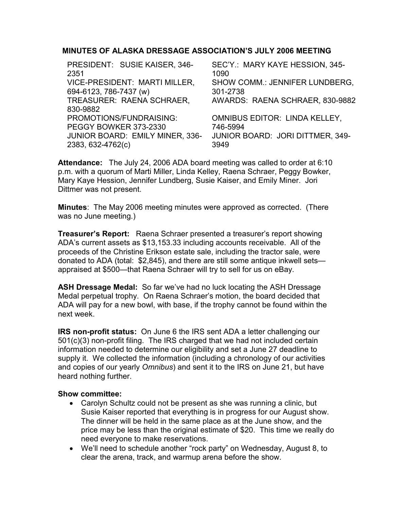# MINUTES OF ALASKA DRESSAGE ASSOCIATION'S JULY 2006 MEETING

| PRESIDENT: SUSIE KAISER, 346-          | SEC'Y.: MARY KAYE HESSION, 345-         |
|----------------------------------------|-----------------------------------------|
| 2351                                   | 1090                                    |
| VICE-PRESIDENT: MARTI MILLER,          | SHOW COMM.: JENNIFER LUNDBERG,          |
| 694-6123, 786-7437 (w)                 | 301-2738                                |
| TREASURER: RAENA SCHRAER,              | AWARDS: RAENA SCHRAER, 830-9882         |
| 830-9882                               |                                         |
| PROMOTIONS/FUNDRAISING:                | <b>OMNIBUS EDITOR: LINDA KELLEY,</b>    |
| PEGGY BOWKER 373-2330                  | 746-5994                                |
| <b>JUNIOR BOARD: EMILY MINER, 336-</b> | <b>JUNIOR BOARD: JORI DITTMER, 349-</b> |
| 2383, 632-4762(c)                      | 3949                                    |
|                                        |                                         |

Attendance: The July 24, 2006 ADA board meeting was called to order at 6:10 p.m. with a quorum of Marti Miller, Linda Kelley, Raena Schraer, Peggy Bowker, Mary Kaye Hession, Jennifer Lundberg, Susie Kaiser, and Emily Miner. Jori Dittmer was not present.

Minutes: The May 2006 meeting minutes were approved as corrected. (There was no June meeting.)

Treasurer's Report: Raena Schraer presented a treasurer's report showing ADA's current assets as \$13,153.33 including accounts receivable. All of the proceeds of the Christine Erikson estate sale, including the tractor sale, were donated to ADA (total: \$2,845), and there are still some antique inkwell sets appraised at \$500—that Raena Schraer will try to sell for us on eBay.

ASH Dressage Medal: So far we've had no luck locating the ASH Dressage Medal perpetual trophy. On Raena Schraer's motion, the board decided that ADA will pay for a new bowl, with base, if the trophy cannot be found within the next week.

IRS non-profit status: On June 6 the IRS sent ADA a letter challenging our 501(c)(3) non-profit filing. The IRS charged that we had not included certain information needed to determine our eligibility and set a June 27 deadline to supply it. We collected the information (including a chronology of our activities and copies of our yearly Omnibus) and sent it to the IRS on June 21, but have heard nothing further.

- Carolyn Schultz could not be present as she was running a clinic, but Susie Kaiser reported that everything is in progress for our August show. The dinner will be held in the same place as at the June show, and the price may be less than the original estimate of \$20. This time we really do need everyone to make reservations.
- We'll need to schedule another "rock party" on Wednesday, August 8, to clear the arena, track, and warmup arena before the show.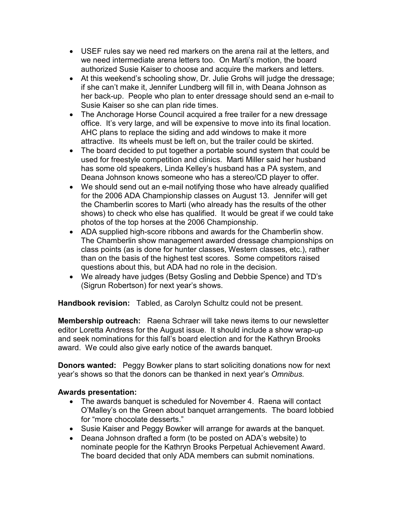- USEF rules say we need red markers on the arena rail at the letters, and we need intermediate arena letters too. On Marti's motion, the board authorized Susie Kaiser to choose and acquire the markers and letters.
- At this weekend's schooling show, Dr. Julie Grohs will judge the dressage; if she can't make it, Jennifer Lundberg will fill in, with Deana Johnson as her back-up. People who plan to enter dressage should send an e-mail to Susie Kaiser so she can plan ride times.
- The Anchorage Horse Council acquired a free trailer for a new dressage office. It's very large, and will be expensive to move into its final location. AHC plans to replace the siding and add windows to make it more attractive. Its wheels must be left on, but the trailer could be skirted.
- The board decided to put together a portable sound system that could be used for freestyle competition and clinics. Marti Miller said her husband has some old speakers, Linda Kelley's husband has a PA system, and Deana Johnson knows someone who has a stereo/CD player to offer.
- We should send out an e-mail notifying those who have already qualified for the 2006 ADA Championship classes on August 13. Jennifer will get the Chamberlin scores to Marti (who already has the results of the other shows) to check who else has qualified. It would be great if we could take photos of the top horses at the 2006 Championship.
- ADA supplied high-score ribbons and awards for the Chamberlin show. The Chamberlin show management awarded dressage championships on class points (as is done for hunter classes, Western classes, etc.), rather than on the basis of the highest test scores. Some competitors raised questions about this, but ADA had no role in the decision.
- We already have judges (Betsy Gosling and Debbie Spence) and TD's (Sigrun Robertson) for next year's shows.

Handbook revision: Tabled, as Carolyn Schultz could not be present.

Membership outreach: Raena Schraer will take news items to our newsletter editor Loretta Andress for the August issue. It should include a show wrap-up and seek nominations for this fall's board election and for the Kathryn Brooks award. We could also give early notice of the awards banquet.

**Donors wanted:** Peggy Bowker plans to start soliciting donations now for next year's shows so that the donors can be thanked in next year's Omnibus.

# Awards presentation:

- The awards banquet is scheduled for November 4. Raena will contact O'Malley's on the Green about banquet arrangements. The board lobbied for "more chocolate desserts."
- Susie Kaiser and Peggy Bowker will arrange for awards at the banquet.
- Deana Johnson drafted a form (to be posted on ADA's website) to nominate people for the Kathryn Brooks Perpetual Achievement Award. The board decided that only ADA members can submit nominations.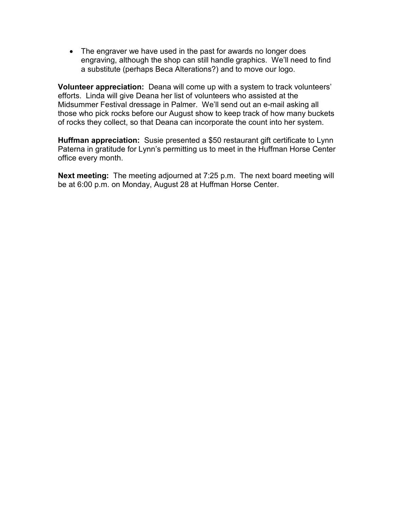• The engraver we have used in the past for awards no longer does engraving, although the shop can still handle graphics. We'll need to find a substitute (perhaps Beca Alterations?) and to move our logo.

Volunteer appreciation: Deana will come up with a system to track volunteers' efforts. Linda will give Deana her list of volunteers who assisted at the Midsummer Festival dressage in Palmer. We'll send out an e-mail asking all those who pick rocks before our August show to keep track of how many buckets of rocks they collect, so that Deana can incorporate the count into her system.

Huffman appreciation: Susie presented a \$50 restaurant gift certificate to Lynn Paterna in gratitude for Lynn's permitting us to meet in the Huffman Horse Center office every month.

Next meeting: The meeting adjourned at 7:25 p.m. The next board meeting will be at 6:00 p.m. on Monday, August 28 at Huffman Horse Center.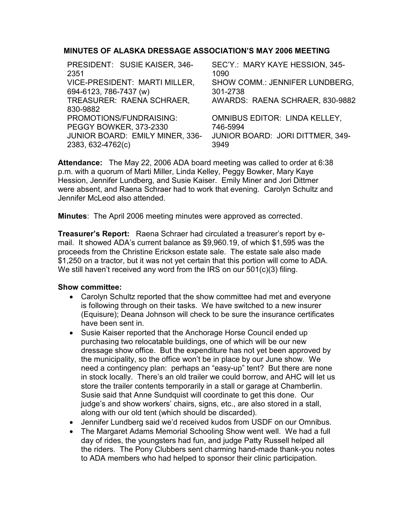# MINUTES OF ALASKA DRESSAGE ASSOCIATION'S MAY 2006 MEETING

| PRESIDENT: SUSIE KAISER, 346-   | SEC'Y.: MARY KAYE HESSION, 345-      |
|---------------------------------|--------------------------------------|
| 2351                            | 1090                                 |
| VICE-PRESIDENT: MARTI MILLER,   | SHOW COMM.: JENNIFER LUNDBERG,       |
| 694-6123, 786-7437 (w)          | 301-2738                             |
| TREASURER: RAENA SCHRAER,       | AWARDS: RAENA SCHRAER, 830-9882      |
| 830-9882                        |                                      |
| PROMOTIONS/FUNDRAISING:         | <b>OMNIBUS EDITOR: LINDA KELLEY,</b> |
| PEGGY BOWKER, 373-2330          | 746-5994                             |
| JUNIOR BOARD: EMILY MINER, 336- | JUNIOR BOARD: JORI DITTMER, 349-     |
| 2383, 632-4762(c)               | 3949                                 |
|                                 |                                      |

Attendance: The May 22, 2006 ADA board meeting was called to order at 6:38 p.m. with a quorum of Marti Miller, Linda Kelley, Peggy Bowker, Mary Kaye Hession, Jennifer Lundberg, and Susie Kaiser. Emily Miner and Jori Dittmer were absent, and Raena Schraer had to work that evening. Carolyn Schultz and Jennifer McLeod also attended.

Minutes: The April 2006 meeting minutes were approved as corrected.

Treasurer's Report: Raena Schraer had circulated a treasurer's report by email. It showed ADA's current balance as \$9,960.19, of which \$1,595 was the proceeds from the Christine Erickson estate sale. The estate sale also made \$1,250 on a tractor, but it was not yet certain that this portion will come to ADA. We still haven't received any word from the IRS on our 501(c)(3) filing.

- Carolyn Schultz reported that the show committee had met and everyone is following through on their tasks. We have switched to a new insurer (Equisure); Deana Johnson will check to be sure the insurance certificates have been sent in.
- Susie Kaiser reported that the Anchorage Horse Council ended up purchasing two relocatable buildings, one of which will be our new dressage show office. But the expenditure has not yet been approved by the municipality, so the office won't be in place by our June show. We need a contingency plan: perhaps an "easy-up" tent? But there are none in stock locally. There's an old trailer we could borrow, and AHC will let us store the trailer contents temporarily in a stall or garage at Chamberlin. Susie said that Anne Sundquist will coordinate to get this done. Our judge's and show workers' chairs, signs, etc., are also stored in a stall, along with our old tent (which should be discarded).
- Jennifer Lundberg said we'd received kudos from USDF on our Omnibus.
- The Margaret Adams Memorial Schooling Show went well. We had a full day of rides, the youngsters had fun, and judge Patty Russell helped all the riders. The Pony Clubbers sent charming hand-made thank-you notes to ADA members who had helped to sponsor their clinic participation.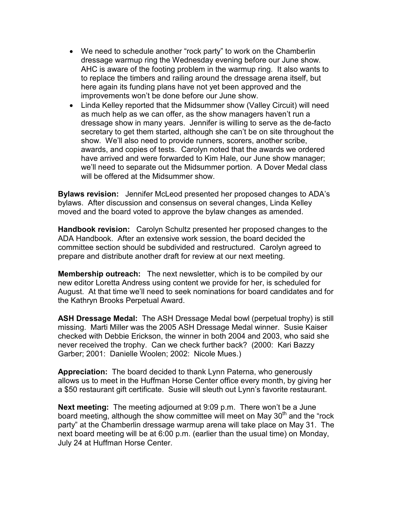- We need to schedule another "rock party" to work on the Chamberlin dressage warmup ring the Wednesday evening before our June show. AHC is aware of the footing problem in the warmup ring. It also wants to to replace the timbers and railing around the dressage arena itself, but here again its funding plans have not yet been approved and the improvements won't be done before our June show.
- Linda Kelley reported that the Midsummer show (Valley Circuit) will need as much help as we can offer, as the show managers haven't run a dressage show in many years. Jennifer is willing to serve as the de-facto secretary to get them started, although she can't be on site throughout the show. We'll also need to provide runners, scorers, another scribe, awards, and copies of tests. Carolyn noted that the awards we ordered have arrived and were forwarded to Kim Hale, our June show manager; we'll need to separate out the Midsummer portion. A Dover Medal class will be offered at the Midsummer show.

Bylaws revision: Jennifer McLeod presented her proposed changes to ADA's bylaws. After discussion and consensus on several changes, Linda Kelley moved and the board voted to approve the bylaw changes as amended.

Handbook revision: Carolyn Schultz presented her proposed changes to the ADA Handbook. After an extensive work session, the board decided the committee section should be subdivided and restructured. Carolyn agreed to prepare and distribute another draft for review at our next meeting.

Membership outreach: The next newsletter, which is to be compiled by our new editor Loretta Andress using content we provide for her, is scheduled for August. At that time we'll need to seek nominations for board candidates and for the Kathryn Brooks Perpetual Award.

ASH Dressage Medal: The ASH Dressage Medal bowl (perpetual trophy) is still missing. Marti Miller was the 2005 ASH Dressage Medal winner. Susie Kaiser checked with Debbie Erickson, the winner in both 2004 and 2003, who said she never received the trophy. Can we check further back? (2000: Kari Bazzy Garber; 2001: Danielle Woolen; 2002: Nicole Mues.)

Appreciation: The board decided to thank Lynn Paterna, who generously allows us to meet in the Huffman Horse Center office every month, by giving her a \$50 restaurant gift certificate. Susie will sleuth out Lynn's favorite restaurant.

Next meeting: The meeting adjourned at 9:09 p.m. There won't be a June board meeting, although the show committee will meet on May 30<sup>th</sup> and the "rock party" at the Chamberlin dressage warmup arena will take place on May 31. The next board meeting will be at 6:00 p.m. (earlier than the usual time) on Monday, July 24 at Huffman Horse Center.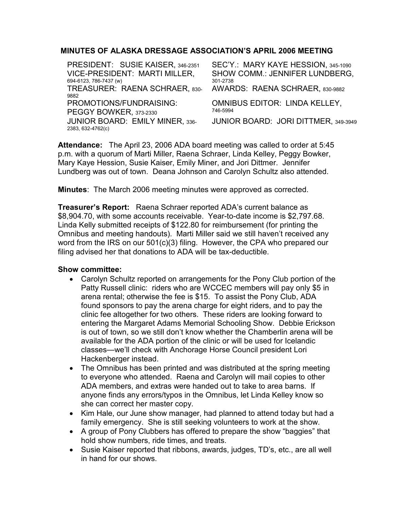# MINUTES OF ALASKA DRESSAGE ASSOCIATION'S APRIL 2006 MEETING

PRESIDENT: SUSIE KAISER, 346-2351 SEC'Y.: MARY KAYE HESSION, 345-1090 VICE-PRESIDENT: MARTI MILLER, 694-6123, 786-7437 (w) SHOW COMM.: JENNIFER LUNDBERG, 301-2738 TREASURER: RAENA SCHRAER, 830- 9882 AWARDS: RAENA SCHRAER, 830-9882 PROMOTIONS/FUNDRAISING: PEGGY BOWKER, 373-2330 OMNIBUS EDITOR: LINDA KELLEY, 746-5994 JUNIOR BOARD: EMILY MINER, 336- 2383, 632-4762(c) JUNIOR BOARD: JORI DITTMER, 349-3949

Attendance: The April 23, 2006 ADA board meeting was called to order at 5:45 p.m. with a quorum of Marti Miller, Raena Schraer, Linda Kelley, Peggy Bowker, Mary Kaye Hession, Susie Kaiser, Emily Miner, and Jori Dittmer. Jennifer Lundberg was out of town. Deana Johnson and Carolyn Schultz also attended.

Minutes: The March 2006 meeting minutes were approved as corrected.

Treasurer's Report: Raena Schraer reported ADA's current balance as \$8,904.70, with some accounts receivable. Year-to-date income is \$2,797.68. Linda Kelly submitted receipts of \$122.80 for reimbursement (for printing the Omnibus and meeting handouts). Marti Miller said we still haven't received any word from the IRS on our 501(c)(3) filing. However, the CPA who prepared our filing advised her that donations to ADA will be tax-deductible.

- Carolyn Schultz reported on arrangements for the Pony Club portion of the Patty Russell clinic: riders who are WCCEC members will pay only \$5 in arena rental; otherwise the fee is \$15. To assist the Pony Club, ADA found sponsors to pay the arena charge for eight riders, and to pay the clinic fee altogether for two others. These riders are looking forward to entering the Margaret Adams Memorial Schooling Show. Debbie Erickson is out of town, so we still don't know whether the Chamberlin arena will be available for the ADA portion of the clinic or will be used for Icelandic classes—we'll check with Anchorage Horse Council president Lori Hackenberger instead.
- The Omnibus has been printed and was distributed at the spring meeting to everyone who attended. Raena and Carolyn will mail copies to other ADA members, and extras were handed out to take to area barns. If anyone finds any errors/typos in the Omnibus, let Linda Kelley know so she can correct her master copy.
- Kim Hale, our June show manager, had planned to attend today but had a family emergency. She is still seeking volunteers to work at the show.
- A group of Pony Clubbers has offered to prepare the show "baggies" that hold show numbers, ride times, and treats.
- Susie Kaiser reported that ribbons, awards, judges, TD's, etc., are all well in hand for our shows.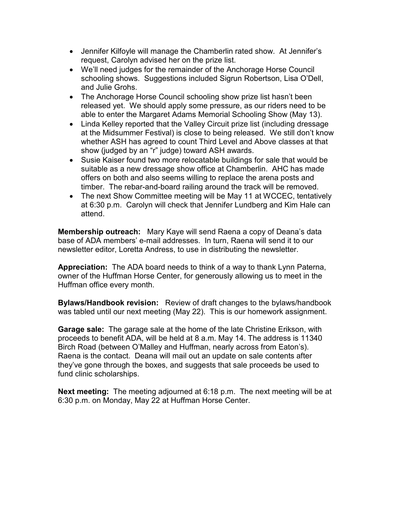- Jennifer Kilfoyle will manage the Chamberlin rated show. At Jennifer's request, Carolyn advised her on the prize list.
- We'll need judges for the remainder of the Anchorage Horse Council schooling shows. Suggestions included Sigrun Robertson, Lisa O'Dell, and Julie Grohs.
- The Anchorage Horse Council schooling show prize list hasn't been released yet. We should apply some pressure, as our riders need to be able to enter the Margaret Adams Memorial Schooling Show (May 13).
- Linda Kelley reported that the Valley Circuit prize list (including dressage at the Midsummer Festival) is close to being released. We still don't know whether ASH has agreed to count Third Level and Above classes at that show (judged by an "r" judge) toward ASH awards.
- Susie Kaiser found two more relocatable buildings for sale that would be suitable as a new dressage show office at Chamberlin. AHC has made offers on both and also seems willing to replace the arena posts and timber. The rebar-and-board railing around the track will be removed.
- The next Show Committee meeting will be May 11 at WCCEC, tentatively at 6:30 p.m. Carolyn will check that Jennifer Lundberg and Kim Hale can attend.

Membership outreach: Mary Kaye will send Raena a copy of Deana's data base of ADA members' e-mail addresses. In turn, Raena will send it to our newsletter editor, Loretta Andress, to use in distributing the newsletter.

Appreciation: The ADA board needs to think of a way to thank Lynn Paterna, owner of the Huffman Horse Center, for generously allowing us to meet in the Huffman office every month.

Bylaws/Handbook revision: Review of draft changes to the bylaws/handbook was tabled until our next meeting (May 22). This is our homework assignment.

Garage sale: The garage sale at the home of the late Christine Erikson, with proceeds to benefit ADA, will be held at 8 a.m. May 14. The address is 11340 Birch Road (between O'Malley and Huffman, nearly across from Eaton's). Raena is the contact. Deana will mail out an update on sale contents after they've gone through the boxes, and suggests that sale proceeds be used to fund clinic scholarships.

Next meeting: The meeting adjourned at 6:18 p.m. The next meeting will be at 6:30 p.m. on Monday, May 22 at Huffman Horse Center.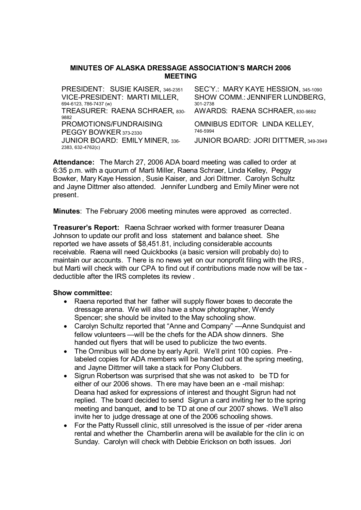### **MINUTES OF ALASKA DRESSAGE ASSOCIATION'S MARCH 2006 MEETING**

| PRESIDENT: SUSIE KAISER, 346-2351      | SEC'Y.: MARY KAYE HESSION, 345-1090  |
|----------------------------------------|--------------------------------------|
| VICE-PRESIDENT: MARTI MILLER,          | SHOW COMM.: JENNIFER LUNDBERG,       |
| 694-6123, 786-7437 (w)                 | 301-2738                             |
| TREASURER: RAENA SCHRAER, 830-         | AWARDS: RAENA SCHRAER, 830-9882      |
| 9882                                   |                                      |
| PROMOTIONS/FUNDRAISING                 | OMNIBUS EDITOR: LINDA KELLEY,        |
| PEGGY BOWKER 373-2330                  | 746-5994                             |
| <b>JUNIOR BOARD: EMILY MINER, 336-</b> | JUNIOR BOARD: JORI DITTMER, 349-3949 |
| 2383, 632-4762(c)                      |                                      |

**Attendance:** The March 27, 2006 ADA board meeting was called to order at 6:35 p.m. with a quorum of Marti Miller, Raena Schraer, Linda Kelley, Peggy Bowker, Mary Kaye Hession , Susie Kaiser, and Jori Dittmer. Carolyn Schultz and Jayne Dittmer also attended. Jennifer Lundberg and Emily Miner were not present.

**Minutes**: The February 2006 meeting minutes were approved as corrected.

**Treasurer's Report:** Raena Schraer worked with former treasurer Deana Johnson to update our profit and loss statement and balance sheet. She reported we have assets of \$8,451.81, including considerable accounts receivable. Raena will need Quickbooks (a basic version will probably do) to maintain our accounts. There is no news yet on our nonprofit filing with the IRS, but Marti will check with our CPA to find out if contributions made now will be tax deductible after the IRS completes its review .

- Raena reported that her father will supply flower boxes to decorate the dressage arena. We will also have a show photographer, Wendy Spencer; she should be invited to the May schooling show.
- Carolyn Schultz reported that "Anne and Company" —Anne Sundquist and fellow volunteers —will be the chefs for the ADA show dinners. She handed out flyers that will be used to publicize the two events.
- The Omnibus will be done by early April. We'll print 100 copies. Prelabeled copies for ADA members will be handed out at the spring meeting, and Jayne Dittmer will take a stack for Pony Clubbers.
- Sigrun Robertson was surprised that she was not asked to be TD for either of our 2006 shows. Th ere may have been an e -mail mishap: Deana had asked for expressions of interest and thought Sigrun had not replied. The board decided to send Sigrun a card inviting her to the spring meeting and banquet, **and** to be TD at one of our 2007 shows. We'll also invite her to judge dressage at one of the 2006 schooling shows.
- For the Patty Russell clinic, still unresolved is the issue of per -rider arena rental and whether the Chamberlin arena will be available for the clin ic on Sunday. Carolyn will check with Debbie Erickson on both issues. Jori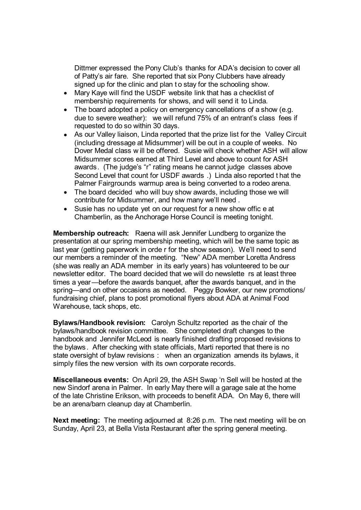Dittmer expressed the Pony Club's thanks for ADA's decision to cover all of Patty's air fare. She reported that six Pony Clubbers have already signed up for the clinic and plan t o stay for the schooling show.

- Mary Kaye will find the USDF website link that has a checklist of membership requirements for shows, and will send it to Linda.
- The board adopted a policy on emergency cancellations of a show (e.g. due to severe weather): we will refund 75% of an entrant's class fees if requested to do so within 30 days.
- As our Valley liaison, Linda reported that the prize list for the Valley Circuit (including dressage at Midsummer) will be out in a couple of weeks. No Dover Medal class w ill be offered. Susie will check whether ASH will allow Midsummer scores earned at Third Level and above to count for ASH awards. (The judge's "r" rating means he cannot judge classes above Second Level that count for USDF awards .) Linda also reported t hat the Palmer Fairgrounds warmup area is being converted to a rodeo arena.
- The board decided who will buy show awards, including those we will contribute for Midsummer, and how many we'll need .
- Susie has no update vet on our request for a new show offic e at Chamberlin, as the Anchorage Horse Council is meeting tonight.

**Membership outreach:** Raena will ask Jennifer Lundberg to organize the presentation at our spring membership meeting, which will be the same topic as last year (getting paperwork in orde r for the show season). We'll need to send our members a reminder of the meeting. "New" ADA member Loretta Andress (she was really an ADA member in its early years) has volunteered to be our newsletter editor. The board decided that we will do newslette rs at least three times a year—before the awards banquet, after the awards banquet, and in the spring—and on other occasions as needed. Peggy Bowker, our new promotions/ fundraising chief, plans to post promotional flyers about ADA at Animal Food Warehouse, tack shops, etc.

**Bylaws/Handbook revision:** Carolyn Schultz reported as the chair of the bylaws/handbook revision committee. She completed draft changes to the handbook and Jennifer McLeod is nearly finished drafting proposed revisions to the bylaws. After checking with state officials, Marti reported that there is no state oversight of bylaw revisions : when an organization amends its bylaws, it simply files the new version with its own corporate records.

**Miscellaneous events:** On April 29, the ASH Swap 'n Sell will be hosted at the new Sindorf arena in Palmer. In early May there will a garage sale at the home of the late Christine Erikson, with proceeds to benefit ADA. On May 6, there will be an arena/barn cleanup day at Chamberlin.

**Next meeting:** The meeting adjourned at 8:26 p.m. The next meeting will be on Sunday, April 23, at Bella Vista Restaurant after the spring general meeting.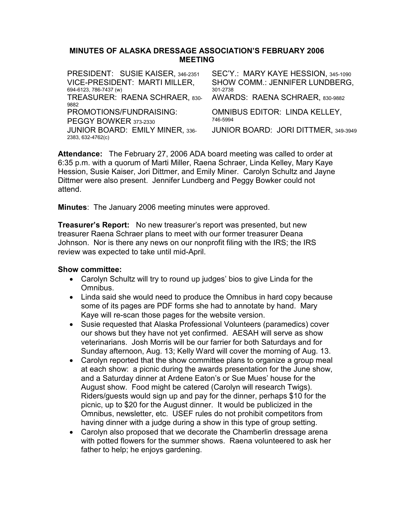### MINUTES OF ALASKA DRESSAGE ASSOCIATION'S FEBRUARY 2006 MEETING

| VICE-PRESIDENT: MARTI MILLER,<br>694-6123, 786-7437 (w)     | SHOW COMM.: JENNIFER LUNDBERG,<br>301-2738       |
|-------------------------------------------------------------|--------------------------------------------------|
| TREASURER: RAENA SCHRAER, 830-                              | AWARDS: RAENA SCHRAER, 830-9882                  |
| PROMOTIONS/FUNDRAISING:<br>PEGGY BOWKER 373-2330            | <b>OMNIBUS EDITOR: LINDA KELLEY,</b><br>746-5994 |
| <b>JUNIOR BOARD: EMILY MINER, 336-</b><br>2383, 632-4762(c) | JUNIOR BOARD: JORI DITTMER, 349-3949             |
|                                                             |                                                  |

Attendance: The February 27, 2006 ADA board meeting was called to order at 6:35 p.m. with a quorum of Marti Miller, Raena Schraer, Linda Kelley, Mary Kaye Hession, Susie Kaiser, Jori Dittmer, and Emily Miner. Carolyn Schultz and Jayne Dittmer were also present. Jennifer Lundberg and Peggy Bowker could not attend.

Minutes: The January 2006 meeting minutes were approved.

Treasurer's Report: No new treasurer's report was presented, but new treasurer Raena Schraer plans to meet with our former treasurer Deana Johnson. Nor is there any news on our nonprofit filing with the IRS; the IRS review was expected to take until mid-April.

- Carolyn Schultz will try to round up judges' bios to give Linda for the Omnibus.
- Linda said she would need to produce the Omnibus in hard copy because some of its pages are PDF forms she had to annotate by hand. Mary Kaye will re-scan those pages for the website version.
- Susie requested that Alaska Professional Volunteers (paramedics) cover our shows but they have not yet confirmed. AESAH will serve as show veterinarians. Josh Morris will be our farrier for both Saturdays and for Sunday afternoon, Aug. 13; Kelly Ward will cover the morning of Aug. 13.
- Carolyn reported that the show committee plans to organize a group meal at each show: a picnic during the awards presentation for the June show, and a Saturday dinner at Ardene Eaton's or Sue Mues' house for the August show. Food might be catered (Carolyn will research Twigs). Riders/guests would sign up and pay for the dinner, perhaps \$10 for the picnic, up to \$20 for the August dinner. It would be publicized in the Omnibus, newsletter, etc. USEF rules do not prohibit competitors from having dinner with a judge during a show in this type of group setting.
- Carolyn also proposed that we decorate the Chamberlin dressage arena with potted flowers for the summer shows. Raena volunteered to ask her father to help; he enjoys gardening.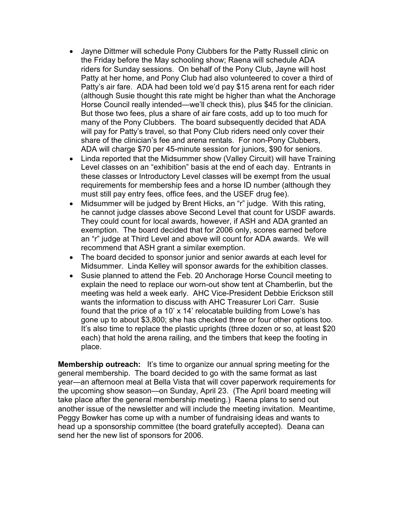- Jayne Dittmer will schedule Pony Clubbers for the Patty Russell clinic on the Friday before the May schooling show; Raena will schedule ADA riders for Sunday sessions. On behalf of the Pony Club, Jayne will host Patty at her home, and Pony Club had also volunteered to cover a third of Patty's air fare. ADA had been told we'd pay \$15 arena rent for each rider (although Susie thought this rate might be higher than what the Anchorage Horse Council really intended—we'll check this), plus \$45 for the clinician. But those two fees, plus a share of air fare costs, add up to too much for many of the Pony Clubbers. The board subsequently decided that ADA will pay for Patty's travel, so that Pony Club riders need only cover their share of the clinician's fee and arena rentals. For non-Pony Clubbers, ADA will charge \$70 per 45-minute session for juniors, \$90 for seniors.
- Linda reported that the Midsummer show (Valley Circuit) will have Training Level classes on an "exhibition" basis at the end of each day. Entrants in these classes or Introductory Level classes will be exempt from the usual requirements for membership fees and a horse ID number (although they must still pay entry fees, office fees, and the USEF drug fee).
- Midsummer will be judged by Brent Hicks, an "r" judge. With this rating, he cannot judge classes above Second Level that count for USDF awards. They could count for local awards, however, if ASH and ADA granted an exemption. The board decided that for 2006 only, scores earned before an "r" judge at Third Level and above will count for ADA awards. We will recommend that ASH grant a similar exemption.
- The board decided to sponsor junior and senior awards at each level for Midsummer. Linda Kelley will sponsor awards for the exhibition classes.
- Susie planned to attend the Feb. 20 Anchorage Horse Council meeting to explain the need to replace our worn-out show tent at Chamberlin, but the meeting was held a week early. AHC Vice-President Debbie Erickson still wants the information to discuss with AHC Treasurer Lori Carr. Susie found that the price of a 10' x 14' relocatable building from Lowe's has gone up to about \$3,800; she has checked three or four other options too. It's also time to replace the plastic uprights (three dozen or so, at least \$20 each) that hold the arena railing, and the timbers that keep the footing in place.

**Membership outreach:** It's time to organize our annual spring meeting for the general membership. The board decided to go with the same format as last year—an afternoon meal at Bella Vista that will cover paperwork requirements for the upcoming show season—on Sunday, April 23. (The April board meeting will take place after the general membership meeting.) Raena plans to send out another issue of the newsletter and will include the meeting invitation. Meantime, Peggy Bowker has come up with a number of fundraising ideas and wants to head up a sponsorship committee (the board gratefully accepted). Deana can send her the new list of sponsors for 2006.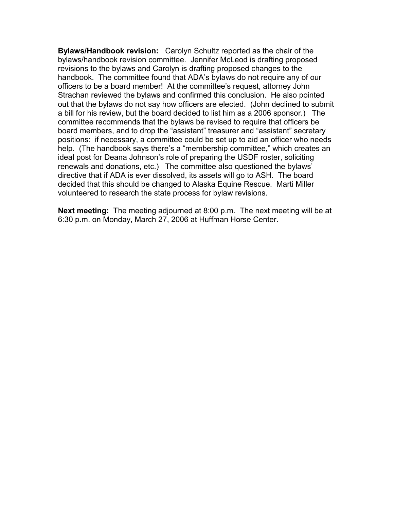Bylaws/Handbook revision: Carolyn Schultz reported as the chair of the bylaws/handbook revision committee. Jennifer McLeod is drafting proposed revisions to the bylaws and Carolyn is drafting proposed changes to the handbook. The committee found that ADA's bylaws do not require any of our officers to be a board member! At the committee's request, attorney John Strachan reviewed the bylaws and confirmed this conclusion. He also pointed out that the bylaws do not say how officers are elected. (John declined to submit a bill for his review, but the board decided to list him as a 2006 sponsor.) The committee recommends that the bylaws be revised to require that officers be board members, and to drop the "assistant" treasurer and "assistant" secretary positions: if necessary, a committee could be set up to aid an officer who needs help. (The handbook says there's a "membership committee," which creates an ideal post for Deana Johnson's role of preparing the USDF roster, soliciting renewals and donations, etc.) The committee also questioned the bylaws' directive that if ADA is ever dissolved, its assets will go to ASH. The board decided that this should be changed to Alaska Equine Rescue. Marti Miller volunteered to research the state process for bylaw revisions.

Next meeting: The meeting adjourned at 8:00 p.m. The next meeting will be at 6:30 p.m. on Monday, March 27, 2006 at Huffman Horse Center.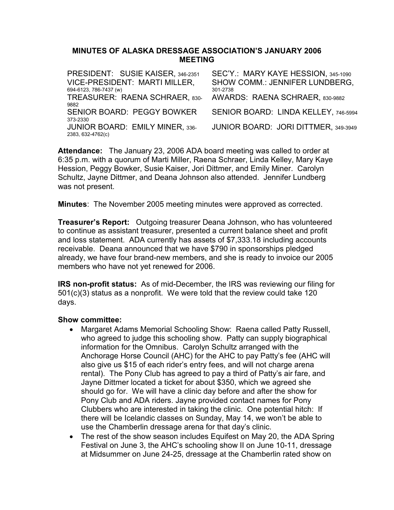### MINUTES OF ALASKA DRESSAGE ASSOCIATION'S JANUARY 2006 MEETING

| PRESIDENT: SUSIE KAISER, 346-2351      | SEC'Y.: MARY KAYE HESSION, 345-1090  |
|----------------------------------------|--------------------------------------|
| VICE-PRESIDENT: MARTI MILLER,          | SHOW COMM.: JENNIFER LUNDBERG,       |
| 694-6123, 786-7437 (w)                 | 301-2738                             |
| TREASURER: RAENA SCHRAER, 830-         | AWARDS: RAENA SCHRAER, 830-9882      |
| 9882                                   |                                      |
| <b>SENIOR BOARD: PEGGY BOWKER</b>      | SENIOR BOARD: LINDA KELLEY, 746-5994 |
| 373-2330                               |                                      |
| <b>JUNIOR BOARD: EMILY MINER, 336-</b> | JUNIOR BOARD: JORI DITTMER, 349-3949 |
| 2383, 632-4762(c)                      |                                      |

Attendance: The January 23, 2006 ADA board meeting was called to order at 6:35 p.m. with a quorum of Marti Miller, Raena Schraer, Linda Kelley, Mary Kaye Hession, Peggy Bowker, Susie Kaiser, Jori Dittmer, and Emily Miner. Carolyn Schultz, Jayne Dittmer, and Deana Johnson also attended. Jennifer Lundberg was not present.

Minutes: The November 2005 meeting minutes were approved as corrected.

Treasurer's Report: Outgoing treasurer Deana Johnson, who has volunteered to continue as assistant treasurer, presented a current balance sheet and profit and loss statement. ADA currently has assets of \$7,333.18 including accounts receivable. Deana announced that we have \$790 in sponsorships pledged already, we have four brand-new members, and she is ready to invoice our 2005 members who have not yet renewed for 2006.

IRS non-profit status: As of mid-December, the IRS was reviewing our filing for 501(c)(3) status as a nonprofit. We were told that the review could take 120 days.

- Margaret Adams Memorial Schooling Show: Raena called Patty Russell, who agreed to judge this schooling show. Patty can supply biographical information for the Omnibus. Carolyn Schultz arranged with the Anchorage Horse Council (AHC) for the AHC to pay Patty's fee (AHC will also give us \$15 of each rider's entry fees, and will not charge arena rental). The Pony Club has agreed to pay a third of Patty's air fare, and Jayne Dittmer located a ticket for about \$350, which we agreed she should go for. We will have a clinic day before and after the show for Pony Club and ADA riders. Jayne provided contact names for Pony Clubbers who are interested in taking the clinic. One potential hitch: If there will be Icelandic classes on Sunday, May 14, we won't be able to use the Chamberlin dressage arena for that day's clinic.
- The rest of the show season includes Equifest on May 20, the ADA Spring Festival on June 3, the AHC's schooling show II on June 10-11, dressage at Midsummer on June 24-25, dressage at the Chamberlin rated show on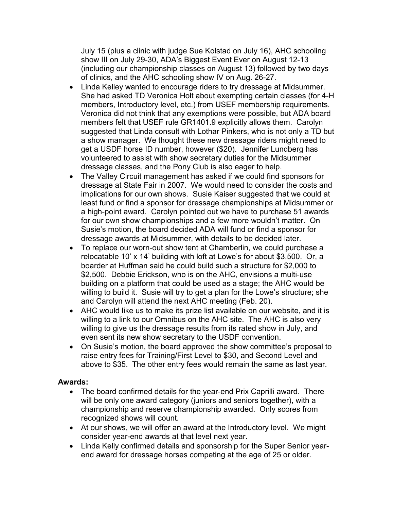July 15 (plus a clinic with judge Sue Kolstad on July 16), AHC schooling show III on July 29-30, ADA's Biggest Event Ever on August 12-13 (including our championship classes on August 13) followed by two days of clinics, and the AHC schooling show IV on Aug. 26-27.

- Linda Kelley wanted to encourage riders to try dressage at Midsummer. She had asked TD Veronica Holt about exempting certain classes (for 4-H members, Introductory level, etc.) from USEF membership requirements. Veronica did not think that any exemptions were possible, but ADA board members felt that USEF rule GR1401.9 explicitly allows them. Carolyn suggested that Linda consult with Lothar Pinkers, who is not only a TD but a show manager. We thought these new dressage riders might need to get a USDF horse ID number, however (\$20). Jennifer Lundberg has volunteered to assist with show secretary duties for the Midsummer dressage classes, and the Pony Club is also eager to help.
- The Valley Circuit management has asked if we could find sponsors for dressage at State Fair in 2007. We would need to consider the costs and implications for our own shows. Susie Kaiser suggested that we could at least fund or find a sponsor for dressage championships at Midsummer or a high-point award. Carolyn pointed out we have to purchase 51 awards for our own show championships and a few more wouldn't matter. On Susie's motion, the board decided ADA will fund or find a sponsor for dressage awards at Midsummer, with details to be decided later.
- To replace our worn-out show tent at Chamberlin, we could purchase a relocatable 10' x 14' building with loft at Lowe's for about \$3,500. Or, a boarder at Huffman said he could build such a structure for \$2,000 to \$2,500. Debbie Erickson, who is on the AHC, envisions a multi-use building on a platform that could be used as a stage; the AHC would be willing to build it. Susie will try to get a plan for the Lowe's structure; she and Carolyn will attend the next AHC meeting (Feb. 20).
- AHC would like us to make its prize list available on our website, and it is willing to a link to our Omnibus on the AHC site. The AHC is also very willing to give us the dressage results from its rated show in July, and even sent its new show secretary to the USDF convention.
- On Susie's motion, the board approved the show committee's proposal to raise entry fees for Training/First Level to \$30, and Second Level and above to \$35. The other entry fees would remain the same as last year.

## Awards:

- The board confirmed details for the year-end Prix Caprilli award. There will be only one award category (juniors and seniors together), with a championship and reserve championship awarded. Only scores from recognized shows will count.
- At our shows, we will offer an award at the Introductory level. We might consider year-end awards at that level next year.
- Linda Kelly confirmed details and sponsorship for the Super Senior yearend award for dressage horses competing at the age of 25 or older.